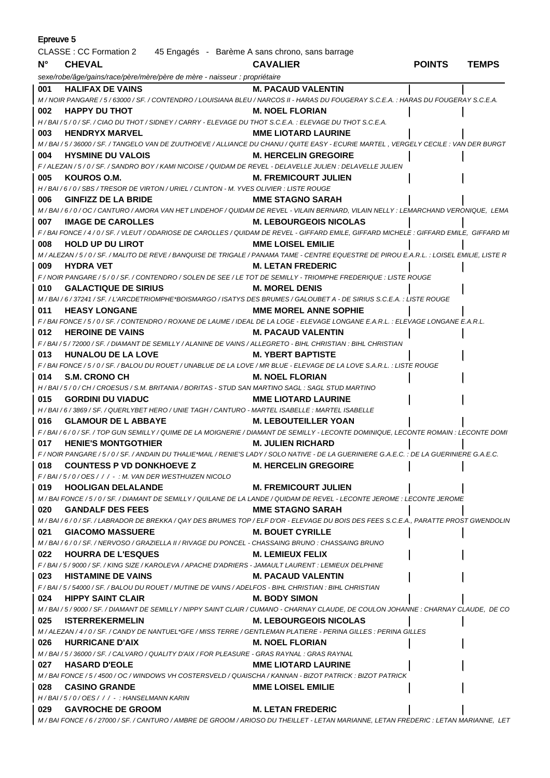| Epreuve 5                                                                                           |                                                                                                                                                      |                               |               |              |  |
|-----------------------------------------------------------------------------------------------------|------------------------------------------------------------------------------------------------------------------------------------------------------|-------------------------------|---------------|--------------|--|
| CLASSE : CC Formation 2 45 Engagés - Barème A sans chrono, sans barrage                             |                                                                                                                                                      |                               |               |              |  |
| $N^{\circ}$                                                                                         | <b>CHEVAL</b>                                                                                                                                        | <b>CAVALIER</b>               | <b>POINTS</b> | <b>TEMPS</b> |  |
|                                                                                                     | sexe/robe/âge/gains/race/père/mère/père de mère - naisseur : propriétaire                                                                            |                               |               |              |  |
| 001                                                                                                 | <b>HALIFAX DE VAINS</b>                                                                                                                              | <b>M. PACAUD VALENTIN</b>     |               |              |  |
|                                                                                                     | M / NOIR PANGARE / 5 / 63000 / SF. / CONTENDRO / LOUISIANA BLEU / NARCOS II - HARAS DU FOUGERAY S.C.E.A. : HARAS DU FOUGERAY S.C.E.A.                |                               |               |              |  |
| 002                                                                                                 | <b>HAPPY DU THOT</b>                                                                                                                                 | <b>M. NOEL FLORIAN</b>        |               |              |  |
|                                                                                                     | H / BAI / 5 / 0 / SF. / CIAO DU THOT / SIDNEY / CARRY - ELEVAGE DU THOT S.C.E.A. : ELEVAGE DU THOT S.C.E.A.                                          |                               |               |              |  |
| 003                                                                                                 | <b>HENDRYX MARVEL</b>                                                                                                                                | <b>MME LIOTARD LAURINE</b>    |               |              |  |
|                                                                                                     | M / BAI / 5 / 36000 / SF. / TANGELO VAN DE ZUUTHOEVE / ALLIANCE DU CHANU / QUITE EASY - ECURIE MARTEL, VERGELY CECILE : VAN DER BURGT                |                               |               |              |  |
| 004                                                                                                 | <b>HYSMINE DU VALOIS</b>                                                                                                                             | <b>M. HERCELIN GREGOIRE</b>   |               |              |  |
|                                                                                                     | F / ALEZAN / 5 / 0 / SF. / SANDRO BOY / KAMI NICOISE / QUIDAM DE REVEL - DELAVELLE JULIEN : DELAVELLE JULIEN                                         |                               |               |              |  |
| 005                                                                                                 | KOUROS O.M.                                                                                                                                          | <b>M. FREMICOURT JULIEN</b>   |               |              |  |
|                                                                                                     | H / BAI / 6 / 0 / SBS / TRESOR DE VIRTON / URIEL / CLINTON - M. YVES OLIVIER : LISTE ROUGE                                                           |                               |               |              |  |
| 006                                                                                                 | <b>GINFIZZ DE LA BRIDE</b>                                                                                                                           | <b>MME STAGNO SARAH</b>       |               |              |  |
|                                                                                                     | M / BAI / 6 / 0 / OC / CANTURO / AMORA VAN HET LINDEHOF / QUIDAM DE REVEL - VILAIN BERNARD, VILAIN NELLY : LEMARCHAND VERONIQUE, LEMA                |                               |               |              |  |
| 007                                                                                                 | <b>IMAGE DE CAROLLES</b>                                                                                                                             | <b>M. LEBOURGEOIS NICOLAS</b> |               |              |  |
|                                                                                                     | F / BAI FONCE / 4 / 0 / SF. / VLEUT / ODARIOSE DE CAROLLES / QUIDAM DE REVEL - GIFFARD EMILE, GIFFARD MICHELE : GIFFARD EMILE, GIFFARD MI            |                               |               |              |  |
| 008                                                                                                 | <b>HOLD UP DU LIROT</b>                                                                                                                              | <b>MME LOISEL EMILIE</b>      |               |              |  |
|                                                                                                     | M / ALEZAN / 5 / 0 / SF. / MALITO DE REVE / BANQUISE DE TRIGALE / PANAMA TAME - CENTRE EQUESTRE DE PIROU E.A.R.L. : LOISEL EMILIE, LISTE R           |                               |               |              |  |
| 009                                                                                                 | <b>HYDRA VET</b>                                                                                                                                     | <b>M. LETAN FREDERIC</b>      |               |              |  |
|                                                                                                     | F / NOIR PANGARE / 5 / 0 / SF. / CONTENDRO / SOLEN DE SEE / LE TOT DE SEMILLY - TRIOMPHE FREDERIQUE : LISTE ROUGE                                    |                               |               |              |  |
| 010                                                                                                 | <b>GALACTIQUE DE SIRIUS</b>                                                                                                                          | <b>M. MOREL DENIS</b>         |               |              |  |
|                                                                                                     | M / BAI / 6 / 37241 / SF. / L'ARCDETRIOMPHE*BOISMARGO / ISATYS DES BRUMES / GALOUBET A - DE SIRIUS S.C.E.A. : LISTE ROUGE                            |                               |               |              |  |
| 011                                                                                                 | <b>HEASY LONGANE</b>                                                                                                                                 | <b>MME MOREL ANNE SOPHIE</b>  |               |              |  |
|                                                                                                     | F / BAI FONCE / 5 / 0 / SF. / CONTENDRO / ROXANE DE LAUME / IDEAL DE LA LOGE - ELEVAGE LONGANE E.A.R.L. : ELEVAGE LONGANE E.A.R.L.                   |                               |               |              |  |
| 012                                                                                                 | <b>HEROINE DE VAINS</b>                                                                                                                              | M. PACAUD VALENTIN            |               |              |  |
|                                                                                                     | F / BAI / 5 / 72000 / SF. / DIAMANT DE SEMILLY / ALANINE DE VAINS / ALLEGRETO - BIHL CHRISTIAN : BIHL CHRISTIAN                                      | M. YBERT BAPTISTE             |               |              |  |
| 013                                                                                                 | <b>HUNALOU DE LA LOVE</b><br>F / BAI FONCE / 5 / 0 / SF. / BALOU DU ROUET / UNABLUE DE LA LOVE / MR BLUE - ELEVAGE DE LA LOVE S.A.R.L. : LISTE ROUGE |                               |               |              |  |
| 014                                                                                                 | <b>S.M. CRONO CH</b><br>M. NOEL FLORIAN                                                                                                              |                               |               |              |  |
|                                                                                                     | H/BAI/5/0/CH/CROESUS/S.M. BRITANIA/BORITAS - STUD SAN MARTINO SAGL: SAGL STUD MARTINO                                                                |                               |               |              |  |
| 015                                                                                                 | <b>GORDINI DU VIADUC</b>                                                                                                                             | <b>MME LIOTARD LAURINE</b>    |               |              |  |
|                                                                                                     | H / BAI / 6 / 3869 / SF. / QUERLYBET HERO / UNIE TAGH / CANTURO - MARTEL ISABELLE : MARTEL ISABELLE                                                  |                               |               |              |  |
| 016                                                                                                 | <b>GLAMOUR DE L ABBAYE</b>                                                                                                                           | <b>M. LEBOUTEILLER YOAN</b>   |               |              |  |
|                                                                                                     | F / BAI / 6 / 0 / SF. / TOP GUN SEMILLY / QUIME DE LA MOIGNERIE / DIAMANT DE SEMILLY - LECONTE DOMINIQUE, LECONTE ROMAIN : LECONTE DOMI              |                               |               |              |  |
| 017                                                                                                 | <b>HENIE'S MONTGOTHIER</b>                                                                                                                           | <b>M. JULIEN RICHARD</b>      |               |              |  |
|                                                                                                     | F / NOIR PANGARE / 5 / 0 / SF. / ANDAIN DU THALIE*MAIL / RENIE'S LADY / SOLO NATIVE - DE LA GUERINIERE G.A.E.C. : DE LA GUERINIERE G.A.E.C.          |                               |               |              |  |
| 018                                                                                                 | <b>COUNTESS P VD DONKHOEVE Z</b>                                                                                                                     | <b>M. HERCELIN GREGOIRE</b>   |               |              |  |
|                                                                                                     | F/BAI/5/0/OES/// -: M. VAN DER WESTHUIZEN NICOLO                                                                                                     |                               |               |              |  |
| 019                                                                                                 | <b>HOOLIGAN DELALANDE</b>                                                                                                                            | <b>M. FREMICOURT JULIEN</b>   |               |              |  |
|                                                                                                     | M/BAI FONCE/5/0/SF./DIAMANT DE SEMILLY/QUILANE DE LA LANDE/QUIDAM DE REVEL - LECONTE JEROME : LECONTE JEROME                                         |                               |               |              |  |
|                                                                                                     | 020 GANDALF DES FEES                                                                                                                                 | <b>MME STAGNO SARAH</b>       |               |              |  |
|                                                                                                     | M/BAI/6/0/SF./LABRADOR DE BREKKA/QAY DES BRUMES TOP/ELF D'OR - ELEVAGE DU BOIS DES FEES S.C.E.A., PARATTE PROST GWENDOLIN                            |                               |               |              |  |
| 021                                                                                                 | <b>GIACOMO MASSUERE</b>                                                                                                                              | <b>M. BOUET CYRILLE</b>       |               |              |  |
|                                                                                                     | M/BAI/6/0/SF./NERVOSO/GRAZIELLA II/RIVAGE DU PONCEL - CHASSAING BRUNO : CHASSAING BRUNO                                                              |                               |               |              |  |
| 022                                                                                                 | <b>HOURRA DE L'ESQUES</b>                                                                                                                            | <b>M. LEMIEUX FELIX</b>       |               |              |  |
|                                                                                                     | F/BAI/5/9000/SF./KING SIZE/KAROLEVA/APACHE D'ADRIERS - JAMAULT LAURENT : LEMIEUX DELPHINE                                                            |                               |               |              |  |
|                                                                                                     | 023 HISTAMINE DE VAINS                                                                                                                               | <b>M. PACAUD VALENTIN</b>     |               |              |  |
|                                                                                                     | F/BAI/5/54000/SF./BALOU DU ROUET/MUTINE DE VAINS/ADELFOS - BIHL CHRISTIAN : BIHL CHRISTIAN<br>024 HIPPY SAINT CLAIR                                  | <b>M. BODY SIMON</b>          |               |              |  |
|                                                                                                     | M/BAI/5/9000/SF./DIAMANT DE SEMILLY/NIPPY SAINT CLAIR/CUMANO - CHARNAY CLAUDE, DE COULON JOHANNE : CHARNAY CLAUDE, DE CO                             |                               |               |              |  |
|                                                                                                     | 025 ISTERREKERMELIN                                                                                                                                  | <b>M. LEBOURGEOIS NICOLAS</b> |               |              |  |
| M/ALEZAN/4/0/SF./CANDY DE NANTUEL*GFE/MISS TERRE/GENTLEMAN PLATIERE - PERINA GILLES : PERINA GILLES |                                                                                                                                                      |                               |               |              |  |
| 026                                                                                                 | <b>HURRICANE D'AIX</b>                                                                                                                               | <b>M. NOEL FLORIAN</b>        |               |              |  |
|                                                                                                     | M/BAI/5/36000/SF./CALVARO/QUALITY D'AIX/FOR PLEASURE - GRAS RAYNAL : GRAS RAYNAL                                                                     |                               |               |              |  |
|                                                                                                     | 027 HASARD D'EOLE                                                                                                                                    | <b>MME LIOTARD LAURINE</b>    |               |              |  |
|                                                                                                     | M / BAI FONCE / 5 / 4500 / OC / WINDOWS VH COSTERSVELD / QUAISCHA / KANNAN - BIZOT PATRICK : BIZOT PATRICK                                           |                               |               |              |  |
|                                                                                                     | 028 CASINO GRANDE                                                                                                                                    | <b>MME LOISEL EMILIE</b>      |               |              |  |
|                                                                                                     | H / BAI / 5 / 0 / OES / / / - : HANSELMANN KARIN                                                                                                     |                               |               |              |  |
| 029                                                                                                 | <b>GAVROCHE DE GROOM</b>                                                                                                                             | <b>M. LETAN FREDERIC</b>      |               |              |  |
|                                                                                                     | M / BAI FONCE / 6 / 27000 / SF. / CANTURO / AMBRE DE GROOM / ARIOSO DU THEILLET - LETAN MARIANNE, LETAN FREDERIC : LETAN MARIANNE, LET               |                               |               |              |  |